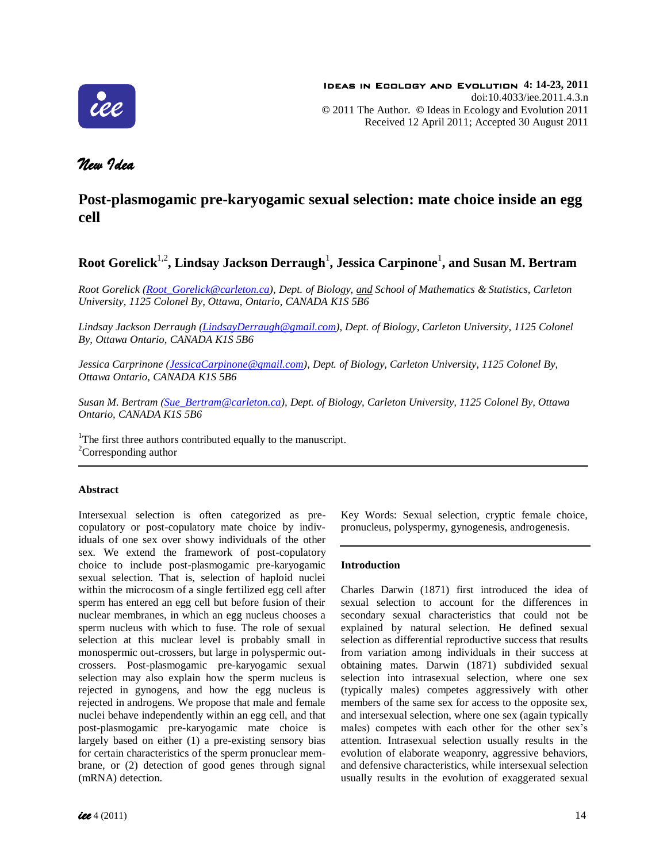

# *New Idea*

## **Post-plasmogamic pre-karyogamic sexual selection: mate choice inside an egg cell**

## $\mathbf{Root}$  Gorelick $^{1,2}$ , Lindsay Jackson Derraugh $^{1}$ , Jessica Carpinone $^{1}$ , and Susan M. Bertram

*Root Gorelick [\(Root\\_Gorelick@carleton.ca\)](mailto:Root_Gorelick@carleton.ca), Dept. of Biology, and School of Mathematics & Statistics, Carleton University, 1125 Colonel By, Ottawa, Ontario, CANADA K1S 5B6*

*Lindsay Jackson Derraugh [\(LindsayDerraugh@gmail.com\)](mailto:LindsayDerraugh@gmail.com), Dept. of Biology, Carleton University, 1125 Colonel By, Ottawa Ontario, CANADA K1S 5B6*

*Jessica Carprinone [\(JessicaCarpinone@gmail.com\)](mailto:JessicaCarpinone@gmail.com), Dept. of Biology, Carleton University, 1125 Colonel By, Ottawa Ontario, CANADA K1S 5B6* 

*Susan M. Bertram [\(Sue\\_Bertram@carleton.ca\)](mailto:Sue_Bertram@carleton.ca), Dept. of Biology, Carleton University, 1125 Colonel By, Ottawa Ontario, CANADA K1S 5B6*

<sup>1</sup>The first three authors contributed equally to the manuscript. <sup>2</sup>Corresponding author

#### **Abstract**

*CCC*<br> **icharge the matrices of the state of the state of the state of the state of the state of the state of the state of the state of the state of the state of the state of the state of the state of the state of the st** Intersexual selection is often categorized as precopulatory or post-copulatory mate choice by individuals of one sex over showy individuals of the other sex. We extend the framework of post-copulatory choice to include post-plasmogamic pre-karyogamic sexual selection. That is, selection of haploid nuclei within the microcosm of a single fertilized egg cell after sperm has entered an egg cell but before fusion of their nuclear membranes, in which an egg nucleus chooses a sperm nucleus with which to fuse. The role of sexual selection at this nuclear level is probably small in monospermic out-crossers, but large in polyspermic outcrossers. Post-plasmogamic pre-karyogamic sexual selection may also explain how the sperm nucleus is rejected in gynogens, and how the egg nucleus is rejected in androgens. We propose that male and female nuclei behave independently within an egg cell, and that post-plasmogamic pre-karyogamic mate choice is largely based on either (1) a pre-existing sensory bias for certain characteristics of the sperm pronuclear membrane, or (2) detection of good genes through signal (mRNA) detection.

Key Words: Sexual selection, cryptic female choice, pronucleus, polyspermy, gynogenesis, androgenesis.

#### **Introduction**

Charles Darwin [\(1871\)](#page-7-0) first introduced the idea of sexual selection to account for the differences in secondary sexual characteristics that could not be explained by natural selection. He defined sexual selection as differential reproductive success that results from variation among individuals in their success at obtaining mates. Darwin [\(1871\)](#page-7-0) subdivided sexual selection into intrasexual selection, where one sex (typically males) competes aggressively with other members of the same sex for access to the opposite sex, and intersexual selection, where one sex (again typically males) competes with each other for the other sex's attention. Intrasexual selection usually results in the evolution of elaborate weaponry, aggressive behaviors, and defensive characteristics, while intersexual selection usually results in the evolution of exaggerated sexual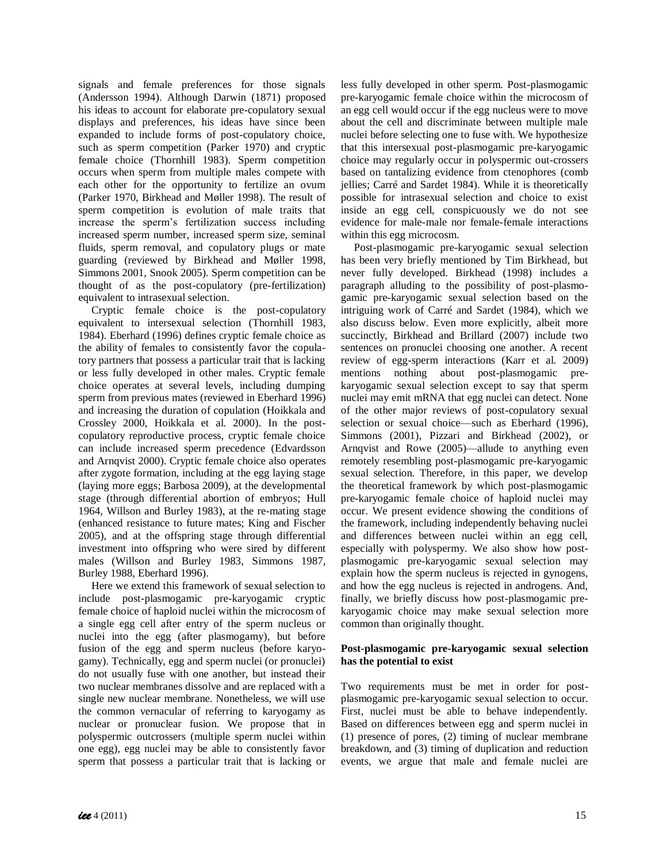signals and female preferences for those signals [\(Andersson 1994\)](#page-6-0). Although Darwin [\(1871\)](#page-7-0) proposed his ideas to account for elaborate pre-copulatory sexual displays and preferences, his ideas have since been expanded to include forms of post-copulatory choice, such as sperm competition [\(Parker 1970\)](#page-8-0) and cryptic female choice [\(Thornhill 1983\)](#page-9-0). Sperm competition occurs when sperm from multiple males compete with each other for the opportunity to fertilize an ovum [\(Parker 1970,](#page-8-0) [Birkhead and Møller 1998\)](#page-7-1). The result of sperm competition is evolution of male traits that increase the sperm's fertilization success including increased sperm number, increased sperm size, seminal fluids, sperm removal, and copulatory plugs or mate guarding (reviewed by [Birkhead and Møller 1998,](#page-7-1) [Simmons 2001,](#page-9-1) [Snook 2005\)](#page-9-2). Sperm competition can be thought of as the post-copulatory (pre-fertilization) equivalent to intrasexual selection.

Cryptic female choice is the post-copulatory equivalent to intersexual selection [\(Thornhill 1983,](#page-9-0) [1984\)](#page-9-3). Eberhard [\(1996\)](#page-7-2) defines cryptic female choice as the ability of females to consistently favor the copulatory partners that possess a particular trait that is lacking or less fully developed in other males. Cryptic female choice operates at several levels, including dumping sperm from previous mates [\(reviewed in Eberhard 1996\)](#page-7-2) and increasing the duration of copulation [\(Hoikkala and](#page-8-1)  [Crossley 2000,](#page-8-1) [Hoikkala et al. 2000\)](#page-8-2). In the postcopulatory reproductive process, cryptic female choice can include increased sperm precedence [\(Edvardsson](#page-7-3)  [and Arnqvist 2000\)](#page-7-3). Cryptic female choice also operates after zygote formation, including at the egg laying stage [\(laying more eggs; Barbosa 2009\)](#page-7-4), at the developmental stage (through differential abortion of embryos; [Hull](#page-8-3) [1964,](#page-8-3) [Willson and Burley 1983\)](#page-9-4), at the re-mating stage [\(enhanced resistance to future mates; King and Fischer](#page-8-4)  [2005\)](#page-8-4), and at the offspring stage through differential investment into offspring who were sired by different males [\(Willson and Burley 1983,](#page-9-4) [Simmons 1987,](#page-9-5) [Burley 1988,](#page-7-5) [Eberhard 1996\)](#page-7-2).

Here we extend this framework of sexual selection to include post-plasmogamic pre-karyogamic cryptic female choice of haploid nuclei within the microcosm of a single egg cell after entry of the sperm nucleus or nuclei into the egg (after plasmogamy), but before fusion of the egg and sperm nucleus (before karyogamy). Technically, egg and sperm nuclei (or pronuclei) do not usually fuse with one another, but instead their two nuclear membranes dissolve and are replaced with a single new nuclear membrane. Nonetheless, we will use the common vernacular of referring to karyogamy as nuclear or pronuclear fusion. We propose that in polyspermic outcrossers (multiple sperm nuclei within one egg), egg nuclei may be able to consistently favor sperm that possess a particular trait that is lacking or less fully developed in other sperm. Post-plasmogamic pre-karyogamic female choice within the microcosm of an egg cell would occur if the egg nucleus were to move about the cell and discriminate between multiple male nuclei before selecting one to fuse with. We hypothesize that this intersexual post-plasmogamic pre-karyogamic choice may regularly occur in polyspermic out-crossers based on tantalizing evidence from ctenophores [\(comb](#page-7-6)  jellies; [Carré and Sardet 1984\)](#page-7-6). While it is theoretically possible for intrasexual selection and choice to exist inside an egg cell, conspicuously we do not see evidence for male-male nor female-female interactions within this egg microcosm.

Post-plasmogamic pre-karyogamic sexual selection has been very briefly mentioned by Tim Birkhead, but never fully developed. Birkhead [\(1998\)](#page-7-7) includes a paragraph alluding to the possibility of post-plasmogamic pre-karyogamic sexual selection based on the intriguing work of Carré and Sardet [\(1984\)](#page-7-6), which we also discuss below. Even more explicitly, albeit more succinctly, Birkhead and Brillard [\(2007\)](#page-7-8) include two sentences on pronuclei choosing one another. A recent review of egg-sperm interactions [\(Karr et al. 2009\)](#page-8-5) mentions nothing about post-plasmogamic prekaryogamic sexual selection except to say that sperm nuclei may emit mRNA that egg nuclei can detect. None of the other major reviews of post-copulatory sexual selection or sexual choice—such as Eberhard [\(1996\)](#page-7-2), Simmons [\(2001\)](#page-9-1), Pizzari and Birkhead [\(2002\)](#page-8-6), or Arnqvist and Rowe [\(2005\)](#page-6-1)—allude to anything even remotely resembling post-plasmogamic pre-karyogamic sexual selection. Therefore, in this paper, we develop the theoretical framework by which post-plasmogamic pre-karyogamic female choice of haploid nuclei may occur. We present evidence showing the conditions of the framework, including independently behaving nuclei and differences between nuclei within an egg cell, especially with polyspermy. We also show how postplasmogamic pre-karyogamic sexual selection may explain how the sperm nucleus is rejected in gynogens, and how the egg nucleus is rejected in androgens. And, finally, we briefly discuss how post-plasmogamic prekaryogamic choice may make sexual selection more common than originally thought.

## **Post-plasmogamic pre-karyogamic sexual selection has the potential to exist**

Two requirements must be met in order for postplasmogamic pre-karyogamic sexual selection to occur. First, nuclei must be able to behave independently. Based on differences between egg and sperm nuclei in (1) presence of pores, (2) timing of nuclear membrane breakdown, and (3) timing of duplication and reduction events, we argue that male and female nuclei are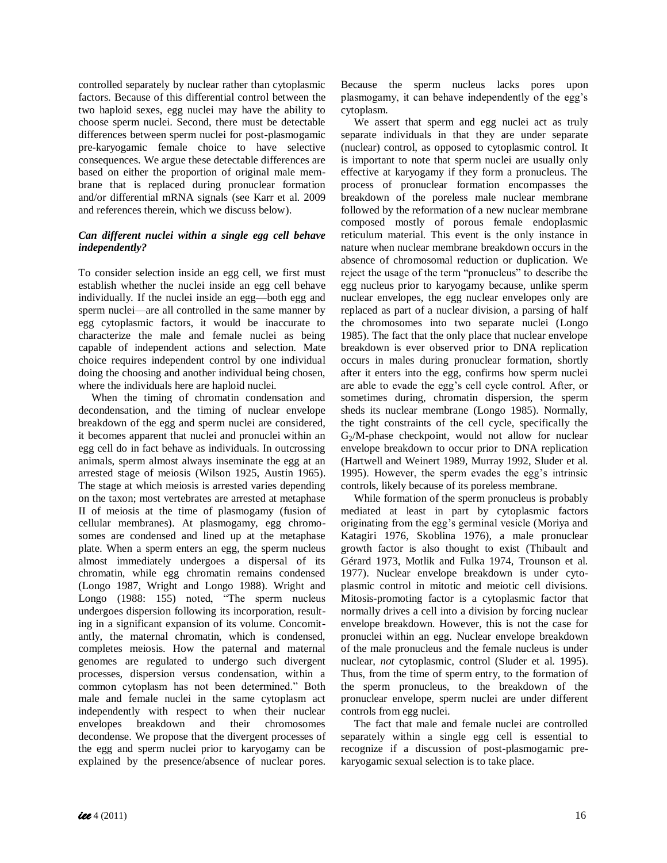controlled separately by nuclear rather than cytoplasmic factors. Because of this differential control between the two haploid sexes, egg nuclei may have the ability to choose sperm nuclei. Second, there must be detectable differences between sperm nuclei for post-plasmogamic pre-karyogamic female choice to have selective consequences. We argue these detectable differences are based on either the proportion of original male membrane that is replaced during pronuclear formation and/or differential mRNA signals [\(see Karr et al. 2009](#page-8-5)  [and references therein, which we discuss below\)](#page-8-5).

## *Can different nuclei within a single egg cell behave independently?*

To consider selection inside an egg cell, we first must establish whether the nuclei inside an egg cell behave individually. If the nuclei inside an egg—both egg and sperm nuclei—are all controlled in the same manner by egg cytoplasmic factors, it would be inaccurate to characterize the male and female nuclei as being capable of independent actions and selection. Mate choice requires independent control by one individual doing the choosing and another individual being chosen, where the individuals here are haploid nuclei.

When the timing of chromatin condensation and decondensation, and the timing of nuclear envelope breakdown of the egg and sperm nuclei are considered, it becomes apparent that nuclei and pronuclei within an egg cell do in fact behave as individuals. In outcrossing animals, sperm almost always inseminate the egg at an arrested stage of meiosis [\(Wilson 1925,](#page-9-6) [Austin 1965\)](#page-7-9). The stage at which meiosis is arrested varies depending on the taxon; most vertebrates are arrested at metaphase II of meiosis at the time of plasmogamy (fusion of cellular membranes). At plasmogamy, egg chromosomes are condensed and lined up at the metaphase plate. When a sperm enters an egg, the sperm nucleus almost immediately undergoes a dispersal of its chromatin, while egg chromatin remains condensed [\(Longo 1987,](#page-8-7) [Wright and Longo 1988\)](#page-9-7). Wright and Longo [\(1988: 155\)](#page-9-7) noted, "The sperm nucleus undergoes dispersion following its incorporation, resulting in a significant expansion of its volume. Concomitantly, the maternal chromatin, which is condensed, completes meiosis. How the paternal and maternal genomes are regulated to undergo such divergent processes, dispersion versus condensation, within a common cytoplasm has not been determined." Both male and female nuclei in the same cytoplasm act independently with respect to when their nuclear envelopes breakdown and their chromosomes decondense. We propose that the divergent processes of the egg and sperm nuclei prior to karyogamy can be explained by the presence/absence of nuclear pores. Because the sperm nucleus lacks pores upon plasmogamy, it can behave independently of the egg's cytoplasm.

We assert that sperm and egg nuclei act as truly separate individuals in that they are under separate (nuclear) control, as opposed to cytoplasmic control. It is important to note that sperm nuclei are usually only effective at karyogamy if they form a pronucleus. The process of pronuclear formation encompasses the breakdown of the poreless male nuclear membrane followed by the reformation of a new nuclear membrane composed mostly of porous female endoplasmic reticulum material. This event is the only instance in nature when nuclear membrane breakdown occurs in the absence of chromosomal reduction or duplication. We reject the usage of the term "pronucleus" to describe the egg nucleus prior to karyogamy because, unlike sperm nuclear envelopes, the egg nuclear envelopes only are replaced as part of a nuclear division, a parsing of half the chromosomes into two separate nuclei [\(Longo](#page-8-8)  [1985\)](#page-8-8). The fact that the only place that nuclear envelope breakdown is ever observed prior to DNA replication occurs in males during pronuclear formation, shortly after it enters into the egg, confirms how sperm nuclei are able to evade the egg's cell cycle control. After, or sometimes during, chromatin dispersion, the sperm sheds its nuclear membrane [\(Longo 1985\)](#page-8-8). Normally, the tight constraints of the cell cycle, specifically the  $G_2/M$ -phase checkpoint, would not allow for nuclear envelope breakdown to occur prior to DNA replication [\(Hartwell and Weinert 1989,](#page-8-9) [Murray 1992,](#page-8-10) [Sluder et al.](#page-9-8)  [1995\)](#page-9-8). However, the sperm evades the egg's intrinsic controls, likely because of its poreless membrane.

While formation of the sperm pronucleus is probably mediated at least in part by cytoplasmic factors originating from the egg's germinal vesicle [\(Moriya and](#page-8-11)  [Katagiri 1976,](#page-8-11) [Skoblina 1976\)](#page-9-9), a male pronuclear growth factor is also thought to exist [\(Thibault and](#page-9-10)  [Gérard 1973,](#page-9-10) [Motlik and Fulka 1974,](#page-8-12) [Trounson et al.](#page-9-11)  [1977\)](#page-9-11). Nuclear envelope breakdown is under cytoplasmic control in mitotic and meiotic cell divisions. Mitosis-promoting factor is a cytoplasmic factor that normally drives a cell into a division by forcing nuclear envelope breakdown. However, this is not the case for pronuclei within an egg. Nuclear envelope breakdown of the male pronucleus and the female nucleus is under nuclear, *not* cytoplasmic, control [\(Sluder et al. 1995\)](#page-9-8). Thus, from the time of sperm entry, to the formation of the sperm pronucleus, to the breakdown of the pronuclear envelope, sperm nuclei are under different controls from egg nuclei.

The fact that male and female nuclei are controlled separately within a single egg cell is essential to recognize if a discussion of post-plasmogamic prekaryogamic sexual selection is to take place.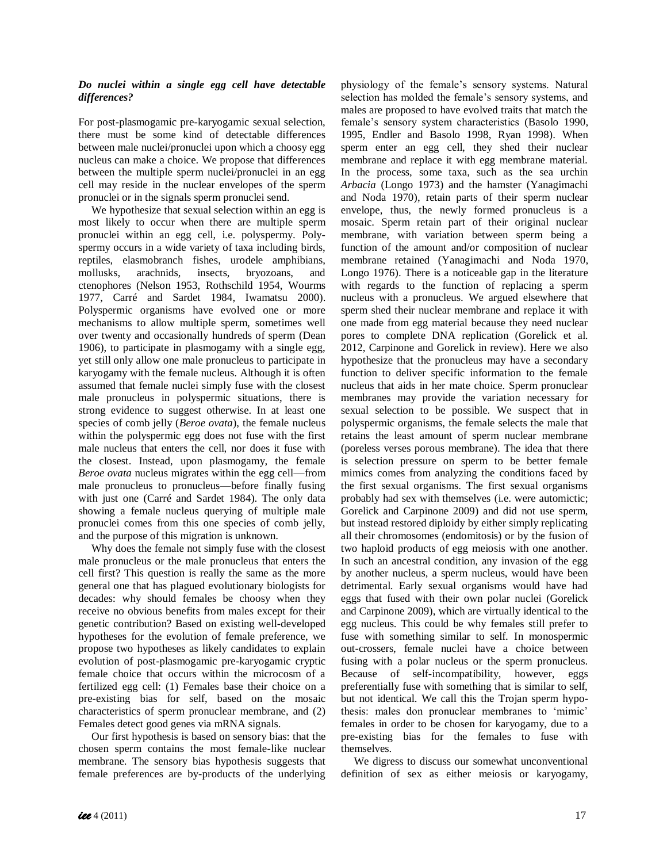## *Do nuclei within a single egg cell have detectable differences?*

For post-plasmogamic pre-karyogamic sexual selection, there must be some kind of detectable differences between male nuclei/pronuclei upon which a choosy egg nucleus can make a choice. We propose that differences between the multiple sperm nuclei/pronuclei in an egg cell may reside in the nuclear envelopes of the sperm pronuclei or in the signals sperm pronuclei send.

We hypothesize that sexual selection within an egg is most likely to occur when there are multiple sperm pronuclei within an egg cell, i.e. polyspermy. Polyspermy occurs in a wide variety of taxa including birds, reptiles, elasmobranch fishes, urodele amphibians, mollusks, arachnids, insects, bryozoans, and ctenophores [\(Nelson 1953,](#page-8-13) [Rothschild 1954,](#page-9-12) [Wourms](#page-9-13)  [1977,](#page-9-13) [Carré and Sardet 1984,](#page-7-6) [Iwamatsu 2000\)](#page-8-14). Polyspermic organisms have evolved one or more mechanisms to allow multiple sperm, sometimes well over twenty and occasionally hundreds of sperm [\(Dean](#page-7-10)  [1906\)](#page-7-10), to participate in plasmogamy with a single egg, yet still only allow one male pronucleus to participate in karyogamy with the female nucleus. Although it is often assumed that female nuclei simply fuse with the closest male pronucleus in polyspermic situations, there is strong evidence to suggest otherwise. In at least one species of comb jelly (*Beroe ovata*), the female nucleus within the polyspermic egg does not fuse with the first male nucleus that enters the cell, nor does it fuse with the closest. Instead, upon plasmogamy, the female *Beroe ovata* nucleus migrates within the egg cell—from male pronucleus to pronucleus—before finally fusing with just one [\(Carré and Sardet 1984\)](#page-7-6). The only data showing a female nucleus querying of multiple male pronuclei comes from this one species of comb jelly, and the purpose of this migration is unknown.

Why does the female not simply fuse with the closest male pronucleus or the male pronucleus that enters the cell first? This question is really the same as the more general one that has plagued evolutionary biologists for decades: why should females be choosy when they receive no obvious benefits from males except for their genetic contribution? Based on existing well-developed hypotheses for the evolution of female preference, we propose two hypotheses as likely candidates to explain evolution of post-plasmogamic pre-karyogamic cryptic female choice that occurs within the microcosm of a fertilized egg cell: (1) Females base their choice on a pre-existing bias for self, based on the mosaic characteristics of sperm pronuclear membrane, and (2) Females detect good genes via mRNA signals.

Our first hypothesis is based on sensory bias: that the chosen sperm contains the most female-like nuclear membrane. The sensory bias hypothesis suggests that female preferences are by-products of the underlying physiology of the female's sensory systems. Natural selection has molded the female's sensory systems, and males are proposed to have evolved traits that match the female's sensory system characteristics [\(Basolo 1990,](#page-7-11) [1995,](#page-7-12) [Endler and Basolo 1998,](#page-7-13) [Ryan 1998\)](#page-9-14). When sperm enter an egg cell, they shed their nuclear membrane and replace it with egg membrane material. In the process, some taxa, such as the sea urchin *Arbacia* [\(Longo 1973\)](#page-8-15) and the hamster [\(Yanagimachi](#page-9-15)  [and Noda 1970\)](#page-9-15), retain parts of their sperm nuclear envelope, thus, the newly formed pronucleus is a mosaic. Sperm retain part of their original nuclear membrane, with variation between sperm being a function of the amount and/or composition of nuclear membrane retained [\(Yanagimachi and Noda 1970,](#page-9-15) [Longo 1976\)](#page-8-16). There is a noticeable gap in the literature with regards to the function of replacing a sperm nucleus with a pronucleus. We argued elsewhere that sperm shed their nuclear membrane and replace it with one made from egg material because they need nuclear pores to complete DNA replication [\(Gorelick et al.](#page-7-14)  [2012,](#page-7-14) [Carpinone and Gorelick in review\)](#page-7-15). Here we also hypothesize that the pronucleus may have a secondary function to deliver specific information to the female nucleus that aids in her mate choice. Sperm pronuclear membranes may provide the variation necessary for sexual selection to be possible. We suspect that in polyspermic organisms, the female selects the male that retains the least amount of sperm nuclear membrane (poreless verses porous membrane). The idea that there is selection pressure on sperm to be better female mimics comes from analyzing the conditions faced by the first sexual organisms. The first sexual organisms probably had sex with themselves [\(i.e. were automictic;](#page-7-16)  [Gorelick and Carpinone 2009\)](#page-7-16) and did not use sperm, but instead restored diploidy by either simply replicating all their chromosomes (endomitosis) or by the fusion of two haploid products of egg meiosis with one another. In such an ancestral condition, any invasion of the egg by another nucleus, a sperm nucleus, would have been detrimental. Early sexual organisms would have had eggs that fused with their own polar nuclei [\(Gorelick](#page-7-16)  [and Carpinone 2009\)](#page-7-16), which are virtually identical to the egg nucleus. This could be why females still prefer to fuse with something similar to self. In monospermic out-crossers, female nuclei have a choice between fusing with a polar nucleus or the sperm pronucleus. Because of self-incompatibility, however, eggs preferentially fuse with something that is similar to self, but not identical. We call this the Trojan sperm hypothesis: males don pronuclear membranes to 'mimic' females in order to be chosen for karyogamy, due to a pre-existing bias for the females to fuse with themselves.

We digress to discuss our somewhat unconventional definition of sex as either meiosis or karyogamy,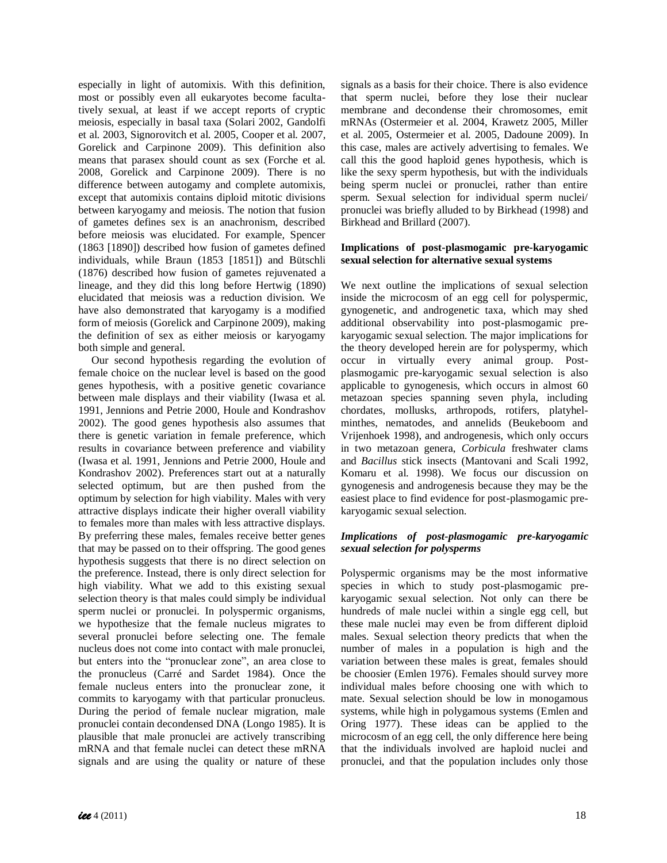especially in light of automixis. With this definition, most or possibly even all eukaryotes become facultatively sexual, at least if we accept reports of cryptic meiosis, especially in basal taxa [\(Solari 2002,](#page-9-16) [Gandolfi](#page-7-17)  [et al. 2003,](#page-7-17) [Signorovitch et al. 2005,](#page-9-17) [Cooper et al. 2007,](#page-7-18) [Gorelick and Carpinone 2009\)](#page-7-16). This definition also means that parasex should count as sex [\(Forche et al.](#page-7-19)  [2008,](#page-7-19) [Gorelick and Carpinone 2009\)](#page-7-16). There is no difference between autogamy and complete automixis, except that automixis contains diploid mitotic divisions between karyogamy and meiosis. The notion that fusion of gametes defines sex is an anachronism, described before meiosis was elucidated. For example, Spencer [\(1863 \[1890\]\)](#page-9-18) described how fusion of gametes defined individuals, while Braun [\(1853 \[1851\]\)](#page-7-20) and Bütschli [\(1876\)](#page-7-21) described how fusion of gametes rejuvenated a lineage, and they did this long before Hertwig [\(1890\)](#page-8-17) elucidated that meiosis was a reduction division. We have also demonstrated that karyogamy is a modified form of meiosis [\(Gorelick and Carpinone 2009\)](#page-7-16), making the definition of sex as either meiosis or karyogamy both simple and general.

Our second hypothesis regarding the evolution of female choice on the nuclear level is based on the good genes hypothesis, with a positive genetic covariance between male displays and their viability [\(Iwasa et al.](#page-8-18)  [1991,](#page-8-18) [Jennions and Petrie 2000,](#page-8-19) [Houle and Kondrashov](#page-8-20)  [2002\)](#page-8-20). The good genes hypothesis also assumes that there is genetic variation in female preference, which results in covariance between preference and viability [\(Iwasa et al. 1991,](#page-8-18) [Jennions and Petrie 2000,](#page-8-19) [Houle and](#page-8-20)  [Kondrashov 2002\)](#page-8-20). Preferences start out at a naturally selected optimum, but are then pushed from the optimum by selection for high viability. Males with very attractive displays indicate their higher overall viability to females more than males with less attractive displays. By preferring these males, females receive better genes that may be passed on to their offspring. The good genes hypothesis suggests that there is no direct selection on the preference. Instead, there is only direct selection for high viability. What we add to this existing sexual selection theory is that males could simply be individual sperm nuclei or pronuclei. In polyspermic organisms, we hypothesize that the female nucleus migrates to several pronuclei before selecting one. The female nucleus does not come into contact with male pronuclei, but enters into the "pronuclear zone", an area close to the pronucleus [\(Carré and Sardet 1984\)](#page-7-6). Once the female nucleus enters into the pronuclear zone, it commits to karyogamy with that particular pronucleus. During the period of female nuclear migration, male pronuclei contain decondensed DNA [\(Longo 1985\)](#page-8-8). It is plausible that male pronuclei are actively transcribing mRNA and that female nuclei can detect these mRNA signals and are using the quality or nature of these signals as a basis for their choice. There is also evidence that sperm nuclei, before they lose their nuclear membrane and decondense their chromosomes, emit mRNAs [\(Ostermeier et al. 2004,](#page-8-21) [Krawetz 2005,](#page-8-22) [Miller](#page-8-23)  [et al. 2005,](#page-8-23) [Ostermeier et al. 2005,](#page-8-24) [Dadoune 2009\)](#page-7-22). In this case, males are actively advertising to females. We call this the good haploid genes hypothesis, which is like the sexy sperm hypothesis, but with the individuals being sperm nuclei or pronuclei, rather than entire sperm. Sexual selection for individual sperm nuclei/ pronuclei was briefly alluded to by Birkhead [\(1998\)](#page-7-7) and Birkhead and Brillard [\(2007\)](#page-7-8).

#### **Implications of post-plasmogamic pre-karyogamic sexual selection for alternative sexual systems**

We next outline the implications of sexual selection inside the microcosm of an egg cell for polyspermic, gynogenetic, and androgenetic taxa, which may shed additional observability into post-plasmogamic prekaryogamic sexual selection. The major implications for the theory developed herein are for polyspermy, which occur in virtually every animal group. Postplasmogamic pre-karyogamic sexual selection is also applicable to gynogenesis, which occurs in almost 60 metazoan species spanning seven phyla, including chordates, mollusks, arthropods, rotifers, platyhelminthes, nematodes, and annelids [\(Beukeboom and](#page-7-23)  [Vrijenhoek 1998\)](#page-7-23), and androgenesis, which only occurs in two metazoan genera, *Corbicula* freshwater clams and *Bacillus* stick insects [\(Mantovani and Scali 1992,](#page-8-25) [Komaru et al. 1998\)](#page-8-26). We focus our discussion on gynogenesis and androgenesis because they may be the easiest place to find evidence for post-plasmogamic prekaryogamic sexual selection.

## *Implications of post-plasmogamic pre-karyogamic sexual selection for polysperms*

Polyspermic organisms may be the most informative species in which to study post-plasmogamic prekaryogamic sexual selection. Not only can there be hundreds of male nuclei within a single egg cell, but these male nuclei may even be from different diploid males. Sexual selection theory predicts that when the number of males in a population is high and the variation between these males is great, females should be choosier [\(Emlen 1976\)](#page-7-24). Females should survey more individual males before choosing one with which to mate. Sexual selection should be low in monogamous systems, while high in polygamous systems [\(Emlen and](#page-7-25)  [Oring 1977\)](#page-7-25). These ideas can be applied to the microcosm of an egg cell, the only difference here being that the individuals involved are haploid nuclei and pronuclei, and that the population includes only those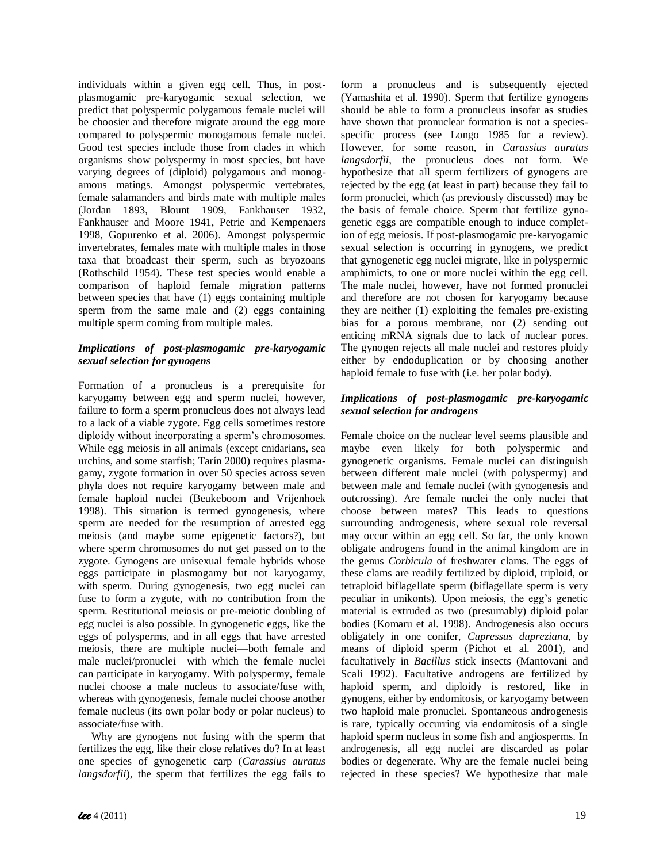individuals within a given egg cell. Thus, in postplasmogamic pre-karyogamic sexual selection, we predict that polyspermic polygamous female nuclei will be choosier and therefore migrate around the egg more compared to polyspermic monogamous female nuclei. Good test species include those from clades in which organisms show polyspermy in most species, but have varying degrees of (diploid) polygamous and monogamous matings. Amongst polyspermic vertebrates, female salamanders and birds mate with multiple males [\(Jordan 1893,](#page-8-27) [Blount 1909,](#page-7-26) [Fankhauser 1932,](#page-7-27) [Fankhauser and Moore 1941,](#page-7-28) [Petrie and Kempenaers](#page-8-28)  [1998,](#page-8-28) [Gopurenko et al. 2006\)](#page-7-29). Amongst polyspermic invertebrates, females mate with multiple males in those taxa that broadcast their sperm, such as bryozoans [\(Rothschild 1954\)](#page-9-12). These test species would enable a comparison of haploid female migration patterns between species that have (1) eggs containing multiple sperm from the same male and (2) eggs containing multiple sperm coming from multiple males.

## *Implications of post-plasmogamic pre-karyogamic sexual selection for gynogens*

Formation of a pronucleus is a prerequisite for karyogamy between egg and sperm nuclei, however, failure to form a sperm pronucleus does not always lead to a lack of a viable zygote. Egg cells sometimes restore diploidy without incorporating a sperm's chromosomes. While egg meiosis in all animals [\(except cnidarians, sea](#page-9-19)  [urchins, and some starfish; Tarín 2000\)](#page-9-19) requires plasmagamy, zygote formation in over 50 species across seven phyla does not require karyogamy between male and female haploid nuclei [\(Beukeboom and Vrijenhoek](#page-7-23)  [1998\)](#page-7-23). This situation is termed gynogenesis, where sperm are needed for the resumption of arrested egg meiosis (and maybe some epigenetic factors?), but where sperm chromosomes do not get passed on to the zygote. Gynogens are unisexual female hybrids whose eggs participate in plasmogamy but not karyogamy, with sperm. During gynogenesis, two egg nuclei can fuse to form a zygote, with no contribution from the sperm. Restitutional meiosis or pre-meiotic doubling of egg nuclei is also possible. In gynogenetic eggs, like the eggs of polysperms, and in all eggs that have arrested meiosis, there are multiple nuclei—both female and male nuclei/pronuclei—with which the female nuclei can participate in karyogamy. With polyspermy, female nuclei choose a male nucleus to associate/fuse with, whereas with gynogenesis, female nuclei choose another female nucleus (its own polar body or polar nucleus) to associate/fuse with.

Why are gynogens not fusing with the sperm that fertilizes the egg, like their close relatives do? In at least one species of gynogenetic carp (*Carassius auratus langsdorfii*), the sperm that fertilizes the egg fails to form a pronucleus and is subsequently ejected [\(Yamashita et al. 1990\)](#page-9-20). Sperm that fertilize gynogens should be able to form a pronucleus insofar as studies have shown that pronuclear formation is not a speciesspecific process [\(see Longo 1985 for a review\)](#page-8-8). However, for some reason, in *Carassius auratus langsdorfii*, the pronucleus does not form. We hypothesize that all sperm fertilizers of gynogens are rejected by the egg (at least in part) because they fail to form pronuclei, which (as previously discussed) may be the basis of female choice. Sperm that fertilize gynogenetic eggs are compatible enough to induce completion of egg meiosis. If post-plasmogamic pre-karyogamic sexual selection is occurring in gynogens, we predict that gynogenetic egg nuclei migrate, like in polyspermic amphimicts, to one or more nuclei within the egg cell. The male nuclei, however, have not formed pronuclei and therefore are not chosen for karyogamy because they are neither (1) exploiting the females pre-existing bias for a porous membrane, nor (2) sending out enticing mRNA signals due to lack of nuclear pores. The gynogen rejects all male nuclei and restores ploidy either by endoduplication or by choosing another haploid female to fuse with (i.e. her polar body).

## *Implications of post-plasmogamic pre-karyogamic sexual selection for androgens*

Female choice on the nuclear level seems plausible and maybe even likely for both polyspermic and gynogenetic organisms. Female nuclei can distinguish between different male nuclei (with polyspermy) and between male and female nuclei (with gynogenesis and outcrossing). Are female nuclei the only nuclei that choose between mates? This leads to questions surrounding androgenesis, where sexual role reversal may occur within an egg cell. So far, the only known obligate androgens found in the animal kingdom are in the genus *Corbicula* of freshwater clams. The eggs of these clams are readily fertilized by diploid, triploid, or tetraploid biflagellate sperm (biflagellate sperm is very peculiar in unikonts). Upon meiosis, the egg's genetic material is extruded as two (presumably) diploid polar bodies [\(Komaru et al. 1998\)](#page-8-26). Androgenesis also occurs obligately in one conifer, *Cupressus dupreziana*, by means of diploid sperm [\(Pichot et al. 2001\)](#page-8-29), and facultatively in *Bacillus* stick insects [\(Mantovani and](#page-8-25)  [Scali 1992\)](#page-8-25). Facultative androgens are fertilized by haploid sperm, and diploidy is restored, like in gynogens, either by endomitosis, or karyogamy between two haploid male pronuclei. Spontaneous androgenesis is rare, typically occurring via endomitosis of a single haploid sperm nucleus in some fish and angiosperms. In androgenesis, all egg nuclei are discarded as polar bodies or degenerate. Why are the female nuclei being rejected in these species? We hypothesize that male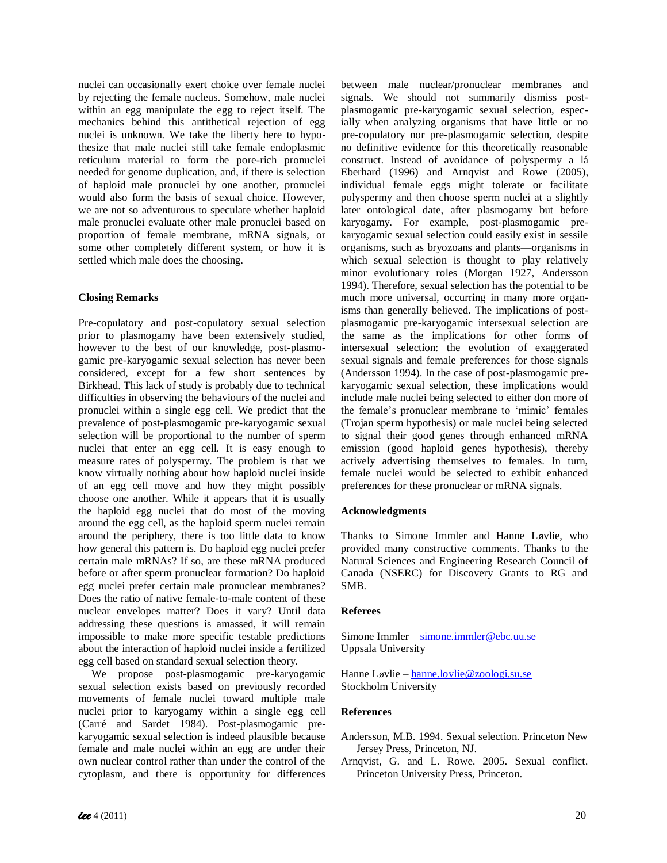nuclei can occasionally exert choice over female nuclei by rejecting the female nucleus. Somehow, male nuclei within an egg manipulate the egg to reject itself. The mechanics behind this antithetical rejection of egg nuclei is unknown. We take the liberty here to hypothesize that male nuclei still take female endoplasmic reticulum material to form the pore-rich pronuclei needed for genome duplication, and, if there is selection of haploid male pronuclei by one another, pronuclei would also form the basis of sexual choice. However, we are not so adventurous to speculate whether haploid male pronuclei evaluate other male pronuclei based on proportion of female membrane, mRNA signals, or some other completely different system, or how it is settled which male does the choosing.

#### **Closing Remarks**

Pre-copulatory and post-copulatory sexual selection prior to plasmogamy have been extensively studied, however to the best of our knowledge, post-plasmogamic pre-karyogamic sexual selection has never been considered, except for a few short sentences by Birkhead. This lack of study is probably due to technical difficulties in observing the behaviours of the nuclei and pronuclei within a single egg cell. We predict that the prevalence of post-plasmogamic pre-karyogamic sexual selection will be proportional to the number of sperm nuclei that enter an egg cell. It is easy enough to measure rates of polyspermy. The problem is that we know virtually nothing about how haploid nuclei inside of an egg cell move and how they might possibly choose one another. While it appears that it is usually the haploid egg nuclei that do most of the moving around the egg cell, as the haploid sperm nuclei remain around the periphery, there is too little data to know how general this pattern is. Do haploid egg nuclei prefer certain male mRNAs? If so, are these mRNA produced before or after sperm pronuclear formation? Do haploid egg nuclei prefer certain male pronuclear membranes? Does the ratio of native female-to-male content of these nuclear envelopes matter? Does it vary? Until data addressing these questions is amassed, it will remain impossible to make more specific testable predictions about the interaction of haploid nuclei inside a fertilized egg cell based on standard sexual selection theory.

We propose post-plasmogamic pre-karyogamic sexual selection exists based on previously recorded movements of female nuclei toward multiple male nuclei prior to karyogamy within a single egg cell [\(Carré and Sardet 1984\)](#page-7-6). Post-plasmogamic prekaryogamic sexual selection is indeed plausible because female and male nuclei within an egg are under their own nuclear control rather than under the control of the cytoplasm, and there is opportunity for differences between male nuclear/pronuclear membranes and signals. We should not summarily dismiss postplasmogamic pre-karyogamic sexual selection, especially when analyzing organisms that have little or no pre-copulatory nor pre-plasmogamic selection, despite no definitive evidence for this theoretically reasonable construct. Instead of avoidance of polyspermy a lá Eberhard [\(1996\)](#page-7-2) and Arnqvist and Rowe [\(2005\)](#page-6-1), individual female eggs might tolerate or facilitate polyspermy and then choose sperm nuclei at a slightly later ontological date, after plasmogamy but before karyogamy. For example, post-plasmogamic prekaryogamic sexual selection could easily exist in sessile organisms, such as bryozoans and plants—organisms in which sexual selection is thought to play relatively minor evolutionary roles [\(Morgan 1927,](#page-8-30) [Andersson](#page-6-0)  [1994\)](#page-6-0). Therefore, sexual selection has the potential to be much more universal, occurring in many more organisms than generally believed. The implications of postplasmogamic pre-karyogamic intersexual selection are the same as the implications for other forms of intersexual selection: the evolution of exaggerated sexual signals and female preferences for those signals [\(Andersson 1994\)](#page-6-0). In the case of post-plasmogamic prekaryogamic sexual selection, these implications would include male nuclei being selected to either don more of the female's pronuclear membrane to 'mimic' females (Trojan sperm hypothesis) or male nuclei being selected to signal their good genes through enhanced mRNA emission (good haploid genes hypothesis), thereby actively advertising themselves to females. In turn, female nuclei would be selected to exhibit enhanced preferences for these pronuclear or mRNA signals.

#### **Acknowledgments**

Thanks to Simone Immler and Hanne Løvlie, who provided many constructive comments. Thanks to the Natural Sciences and Engineering Research Council of Canada (NSERC) for Discovery Grants to RG and SMB.

#### **Referees**

Simone Immler – [simone.immler@ebc.uu.se](mailto:simone.immler@ebc.uu.se) Uppsala University

Hanne Løvlie – [hanne.lovlie@zoologi.su.se](mailto:hanne.lovlie@zoologi.su.se) Stockholm University

#### **References**

- <span id="page-6-0"></span>Andersson, M.B. 1994. Sexual selection. Princeton New Jersey Press, Princeton, NJ.
- <span id="page-6-1"></span>Arnqvist, G. and L. Rowe. 2005. Sexual conflict. Princeton University Press, Princeton.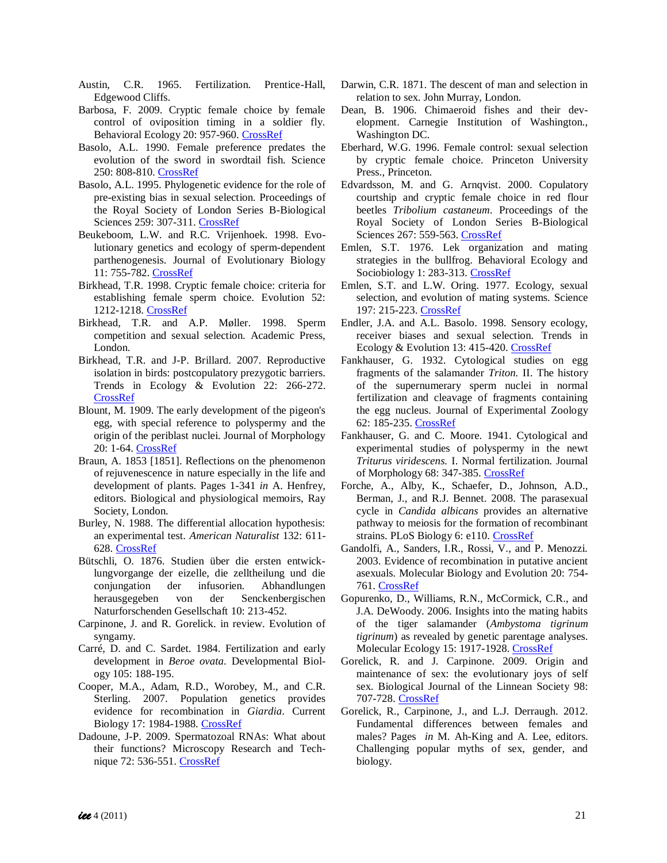- <span id="page-7-9"></span>Austin, C.R. 1965. Fertilization. Prentice-Hall, Edgewood Cliffs.
- <span id="page-7-4"></span>Barbosa, F. 2009. Cryptic female choice by female control of oviposition timing in a soldier fly. Behavioral Ecology 20: 957-960. [CrossRef](http://dx.doi.org/10.1093/beheco/arp083)
- <span id="page-7-11"></span>Basolo, A.L. 1990. Female preference predates the evolution of the sword in swordtail fish. Science 250: 808-810. [CrossRef](http://dx.doi.org/10.1126/science.250.4982.808)
- <span id="page-7-12"></span>Basolo, A.L. 1995. Phylogenetic evidence for the role of pre-existing bias in sexual selection. Proceedings of the Royal Society of London Series B-Biological Sciences 259: 307-311. [CrossRef](http://dx.doi.org/10.1098/rspb.1995.0045)
- <span id="page-7-23"></span>Beukeboom, L.W. and R.C. Vrijenhoek. 1998. Evolutionary genetics and ecology of sperm-dependent parthenogenesis. Journal of Evolutionary Biology 11: 755-782. [CrossRef](http://dx.doi.org/10.1007/s000360050117)
- <span id="page-7-7"></span>Birkhead, T.R. 1998. Cryptic female choice: criteria for establishing female sperm choice. Evolution 52: 1212-1218. [CrossRef](http://dx.doi.org/10.2307/2411251)
- <span id="page-7-1"></span>Birkhead, T.R. and A.P. Møller. 1998. Sperm competition and sexual selection. Academic Press, London.
- <span id="page-7-8"></span>Birkhead, T.R. and J-P. Brillard. 2007. Reproductive isolation in birds: postcopulatory prezygotic barriers. Trends in Ecology & Evolution 22: 266-272. [CrossRef](http://dx.doi.org/10.1016/j.tree.2007.02.004)
- <span id="page-7-26"></span>Blount, M. 1909. The early development of the pigeon's egg, with special reference to polyspermy and the origin of the periblast nuclei. Journal of Morphology 20: 1-64. [CrossRef](http://dx.doi.org/10.1002/jmor.1050200102)
- <span id="page-7-20"></span>Braun, A. 1853 [1851]. Reflections on the phenomenon of rejuvenescence in nature especially in the life and development of plants. Pages 1-341 *in* A. Henfrey, editors. Biological and physiological memoirs, Ray Society, London.
- <span id="page-7-5"></span>Burley, N. 1988. The differential allocation hypothesis: an experimental test. *American Naturalist* 132: 611- 628. [CrossRef](http://dx.doi.org/10.1086/284877)
- <span id="page-7-21"></span>Bütschli, O. 1876. Studien über die ersten entwicklungvorgange der eizelle, die zelltheilung und die conjungation der infusorien. Abhandlungen herausgegeben von der Senckenbergischen Naturforschenden Gesellschaft 10: 213-452.
- <span id="page-7-15"></span>Carpinone, J. and R. Gorelick. in review. Evolution of syngamy.
- <span id="page-7-6"></span>Carré, D. and C. Sardet. 1984. Fertilization and early development in *Beroe ovata*. Developmental Biology 105: 188-195.
- <span id="page-7-18"></span>Cooper, M.A., Adam, R.D., Worobey, M., and C.R. Sterling. 2007. Population genetics provides evidence for recombination in *Giardia*. Current Biology 17: 1984-1988. [CrossRef](http://dx.doi.org/10.1016/j.cub.2007.10.020)
- <span id="page-7-22"></span>Dadoune, J-P. 2009. Spermatozoal RNAs: What about their functions? Microscopy Research and Technique 72: 536-551. [CrossRef](http://dx.doi.org/10.1002/jemt.20697)
- <span id="page-7-0"></span>Darwin, C.R. 1871. The descent of man and selection in relation to sex. John Murray, London.
- <span id="page-7-10"></span>Dean, B. 1906. Chimaeroid fishes and their development. Carnegie Institution of Washington., Washington DC.
- <span id="page-7-2"></span>Eberhard, W.G. 1996. Female control: sexual selection by cryptic female choice. Princeton University Press., Princeton.
- <span id="page-7-3"></span>Edvardsson, M. and G. Arnqvist. 2000. Copulatory courtship and cryptic female choice in red flour beetles *Tribolium castaneum*. Proceedings of the Royal Society of London Series B-Biological Sciences 267: 559-563. [CrossRef](http://dx.doi.org/10.1098/rspb.2000.1037)
- <span id="page-7-24"></span>Emlen, S.T. 1976. Lek organization and mating strategies in the bullfrog. Behavioral Ecology and Sociobiology 1: 283-313. [CrossRef](http://dx.doi.org/10.1007/BF00300069)
- <span id="page-7-25"></span>Emlen, S.T. and L.W. Oring. 1977. Ecology, sexual selection, and evolution of mating systems. Science 197: 215-223. [CrossRef](http://dx.doi.org/10.1126/science.327542)
- <span id="page-7-13"></span>Endler, J.A. and A.L. Basolo. 1998. Sensory ecology, receiver biases and sexual selection. Trends in Ecology & Evolution 13: 415-420. [CrossRef](http://dx.doi.org/10.1016/S0169-5347(98)01471-2)
- <span id="page-7-27"></span>Fankhauser, G. 1932. Cytological studies on egg fragments of the salamander *Triton.* II. The history of the supernumerary sperm nuclei in normal fertilization and cleavage of fragments containing the egg nucleus. Journal of Experimental Zoology 62: 185-235. [CrossRef](http://dx.doi.org/10.1002/jez.1400620108)
- <span id="page-7-28"></span>Fankhauser, G. and C. Moore. 1941. Cytological and experimental studies of polyspermy in the newt *Triturus viridescens.* I. Normal fertilization. Journal of Morphology 68: 347-385. [CrossRef](http://dx.doi.org/10.1002/jmor.1050680208)
- <span id="page-7-19"></span>Forche, A., Alby, K., Schaefer, D., Johnson, A.D., Berman, J., and R.J. Bennet. 2008. The parasexual cycle in *Candida albicans* provides an alternative pathway to meiosis for the formation of recombinant strains. PLoS Biology 6: e110. [CrossRef](http://dx.doi.org/10.1371/journal.pbio.0060110)
- <span id="page-7-17"></span>Gandolfi, A., Sanders, I.R., Rossi, V., and P. Menozzi. 2003. Evidence of recombination in putative ancient asexuals. Molecular Biology and Evolution 20: 754- 761. [CrossRef](http://dx.doi.org/10.1093/molbev/msg081)
- <span id="page-7-29"></span>Gopurenko, D., Williams, R.N., McCormick, C.R., and J.A. DeWoody. 2006. Insights into the mating habits of the tiger salamander (*Ambystoma tigrinum tigrinum*) as revealed by genetic parentage analyses. Molecular Ecology 15: 1917-1928. [CrossRef](http://dx.doi.org/10.1111/j.1365-294X.2006.02904.x)
- <span id="page-7-16"></span>Gorelick, R. and J. Carpinone. 2009. Origin and maintenance of sex: the evolutionary joys of self sex. Biological Journal of the Linnean Society 98: 707-728. [CrossRef](http://dx.doi.org/10.1111/j.1095-8312.2009.01334.x)
- <span id="page-7-14"></span>Gorelick, R., Carpinone, J., and L.J. Derraugh. 2012. Fundamental differences between females and males? Pages *in* M. Ah-King and A. Lee, editors. Challenging popular myths of sex, gender, and biology.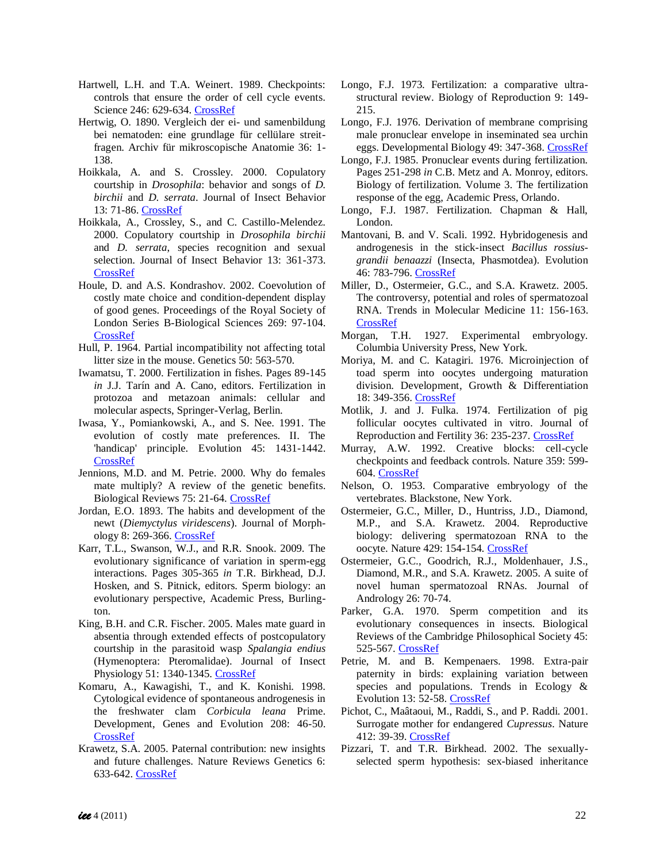- <span id="page-8-9"></span>Hartwell, L.H. and T.A. Weinert. 1989. Checkpoints: controls that ensure the order of cell cycle events. Science 246: 629-634. [CrossRef](http://dx.doi.org/10.1126/science.2683079)
- <span id="page-8-17"></span>Hertwig, O. 1890. Vergleich der ei- und samenbildung bei nematoden: eine grundlage für cellülare streitfragen. Archiv für mikroscopische Anatomie 36: 1- 138.
- <span id="page-8-1"></span>Hoikkala, A. and S. Crossley. 2000. Copulatory courtship in *Drosophila*: behavior and songs of *D. birchii* and *D. serrata*. Journal of Insect Behavior 13: 71-86. [CrossRef](http://dx.doi.org/10.1023/A:1007715609756)
- <span id="page-8-2"></span>Hoikkala, A., Crossley, S., and C. Castillo-Melendez. 2000. Copulatory courtship in *Drosophila birchii* and *D. serrata*, species recognition and sexual selection. Journal of Insect Behavior 13: 361-373. [CrossRef](http://dx.doi.org/10.1023/A:1007710218609)
- <span id="page-8-20"></span>Houle, D. and A.S. Kondrashov. 2002. Coevolution of costly mate choice and condition-dependent display of good genes. Proceedings of the Royal Society of London Series B-Biological Sciences 269: 97-104. [CrossRef](http://dx.doi.org/10.1098/rspb.2001.1823)
- <span id="page-8-3"></span>Hull, P. 1964. Partial incompatibility not affecting total litter size in the mouse. Genetics 50: 563-570.
- <span id="page-8-14"></span>Iwamatsu, T. 2000. Fertilization in fishes. Pages 89-145 *in* J.J. Tarín and A. Cano, editors. Fertilization in protozoa and metazoan animals: cellular and molecular aspects, Springer-Verlag, Berlin.
- <span id="page-8-18"></span>Iwasa, Y., Pomiankowski, A., and S. Nee. 1991. The evolution of costly mate preferences. II. The 'handicap' principle. Evolution 45: 1431-1442. [CrossRef](http://dx.doi.org/10.2307/2409890)
- <span id="page-8-19"></span>Jennions, M.D. and M. Petrie. 2000. Why do females mate multiply? A review of the genetic benefits. Biological Reviews 75: 21-64. [CrossRef](http://dx.doi.org/10.1017/S0006323199005423)
- <span id="page-8-27"></span>Jordan, E.O. 1893. The habits and development of the newt (*Diemyctylus viridescens*). Journal of Morphology 8: 269-366. [CrossRef](http://dx.doi.org/10.1002/jmor.1050080203)
- <span id="page-8-5"></span>Karr, T.L., Swanson, W.J., and R.R. Snook. 2009. The evolutionary significance of variation in sperm-egg interactions. Pages 305-365 *in* T.R. Birkhead, D.J. Hosken, and S. Pitnick, editors. Sperm biology: an evolutionary perspective, Academic Press, Burlington.
- <span id="page-8-4"></span>King, B.H. and C.R. Fischer. 2005. Males mate guard in absentia through extended effects of postcopulatory courtship in the parasitoid wasp *Spalangia endius* (Hymenoptera: Pteromalidae). Journal of Insect Physiology 51: 1340-1345. [CrossRef](http://dx.doi.org/10.1016/j.jinsphys.2005.08.004)
- <span id="page-8-26"></span>Komaru, A., Kawagishi, T., and K. Konishi. 1998. Cytological evidence of spontaneous androgenesis in the freshwater clam *Corbicula leana* Prime. Development, Genes and Evolution 208: 46-50. **[CrossRef](http://dx.doi.org/10.1007/s004270050152)**
- <span id="page-8-22"></span>Krawetz, S.A. 2005. Paternal contribution: new insights and future challenges. Nature Reviews Genetics 6: 633-642. [CrossRef](http://dx.doi.org/10.1038/nrg1654)
- <span id="page-8-15"></span>Longo, F.J. 1973. Fertilization: a comparative ultrastructural review. Biology of Reproduction 9: 149- 215.
- <span id="page-8-16"></span>Longo, F.J. 1976. Derivation of membrane comprising male pronuclear envelope in inseminated sea urchin eggs. Developmental Biology 49: 347-368. [CrossRef](http://dx.doi.org/10.1016/0012-1606(76)90180-9)
- <span id="page-8-8"></span>Longo, F.J. 1985. Pronuclear events during fertilization. Pages 251-298 *in* C.B. Metz and A. Monroy, editors. Biology of fertilization. Volume 3. The fertilization response of the egg, Academic Press, Orlando.
- <span id="page-8-7"></span>Longo, F.J. 1987. Fertilization. Chapman & Hall, London.
- <span id="page-8-25"></span>Mantovani, B. and V. Scali. 1992. Hybridogenesis and androgenesis in the stick-insect *Bacillus rossiusgrandii benaazzi* (Insecta, Phasmotdea). Evolution 46: 783-796. [CrossRef](http://dx.doi.org/10.2307/2409646)
- <span id="page-8-23"></span>Miller, D., Ostermeier, G.C., and S.A. Krawetz. 2005. The controversy, potential and roles of spermatozoal RNA. Trends in Molecular Medicine 11: 156-163. [CrossRef](http://dx.doi.org/10.1016/j.molmed.2005.02.006)
- <span id="page-8-30"></span>Morgan, T.H. 1927. Experimental embryology. Columbia University Press, New York.
- <span id="page-8-11"></span>Moriya, M. and C. Katagiri. 1976. Microinjection of toad sperm into oocytes undergoing maturation division. Development, Growth & Differentiation 18: 349-356. [CrossRef](http://dx.doi.org/10.1111/j.1440-169X.1976.00349.x)
- <span id="page-8-12"></span>Motlik, J. and J. Fulka. 1974. Fertilization of pig follicular oocytes cultivated in vitro. Journal of Reproduction and Fertility 36: 235-237. [CrossRef](http://dx.doi.org/10.1530/jrf.0.0360235)
- <span id="page-8-10"></span>Murray, A.W. 1992. Creative blocks: cell-cycle checkpoints and feedback controls. Nature 359: 599- 604. [CrossRef](http://dx.doi.org/10.1038/359599a0)
- <span id="page-8-13"></span>Nelson, O. 1953. Comparative embryology of the vertebrates. Blackstone, New York.
- <span id="page-8-21"></span>Ostermeier, G.C., Miller, D., Huntriss, J.D., Diamond, M.P., and S.A. Krawetz. 2004. Reproductive biology: delivering spermatozoan RNA to the oocyte. Nature 429: 154-154. [CrossRef](http://dx.doi.org/10.1038/429154a)
- <span id="page-8-24"></span>Ostermeier, G.C., Goodrich, R.J., Moldenhauer, J.S., Diamond, M.R., and S.A. Krawetz. 2005. A suite of novel human spermatozoal RNAs. Journal of Andrology 26: 70-74.
- <span id="page-8-0"></span>Parker, G.A. 1970. Sperm competition and its evolutionary consequences in insects. Biological Reviews of the Cambridge Philosophical Society 45: 525-567. [CrossRef](http://dx.doi.org/10.1111/j.1469-185X.1970.tb01176.x)
- <span id="page-8-28"></span>Petrie, M. and B. Kempenaers. 1998. Extra-pair paternity in birds: explaining variation between species and populations. Trends in Ecology & Evolution 13: 52-58. [CrossRef](http://dx.doi.org/10.1016/S0169-5347(97)01232-9)
- <span id="page-8-29"></span>Pichot, C., Maâtaoui, M., Raddi, S., and P. Raddi. 2001. Surrogate mother for endangered *Cupressus*. Nature 412: 39-39. [CrossRef](http://dx.doi.org/10.1038/35083687)
- <span id="page-8-6"></span>Pizzari, T. and T.R. Birkhead. 2002. The sexuallyselected sperm hypothesis: sex-biased inheritance